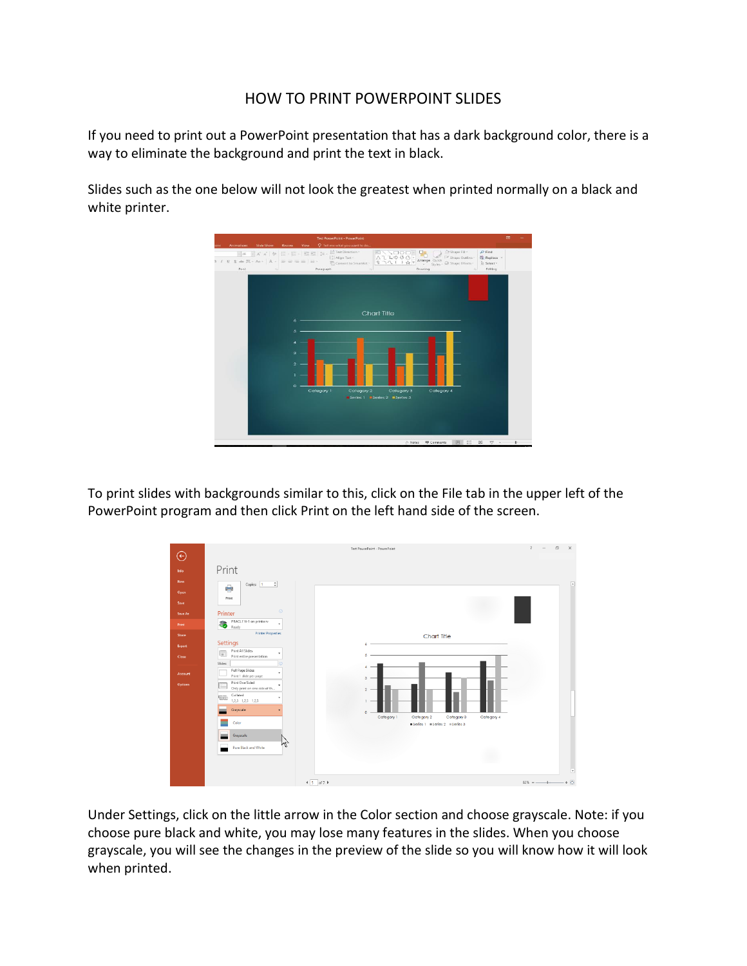## HOW TO PRINT POWERPOINT SLIDES

If you need to print out a PowerPoint presentation that has a dark background color, there is a way to eliminate the background and print the text in black.

Slides such as the one below will not look the greatest when printed normally on a black and white printer.



To print slides with backgrounds similar to this, click on the File tab in the upper left of the PowerPoint program and then click Print on the left hand side of the screen.



Under Settings, click on the little arrow in the Color section and choose grayscale. Note: if you choose pure black and white, you may lose many features in the slides. When you choose grayscale, you will see the changes in the preview of the slide so you will know how it will look when printed.